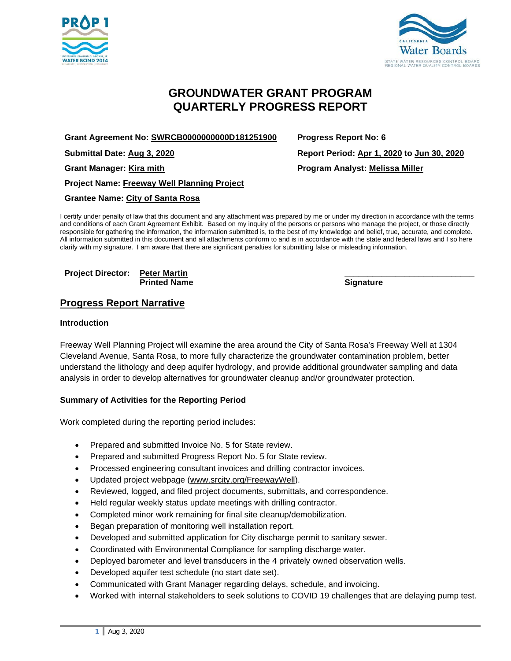



# **GROUNDWATER GRANT PROGRAM QUARTERLY PROGRESS REPORT**

**Grant Agreement No: SWRCB0000000000D181251900 Progress Report No: 6**

**Project Name: Freeway Well Planning Project**

**Grantee Name: City of Santa Rosa**

I certify under penalty of law that this document and any attachment was prepared by me or under my direction in accordance with the terms and conditions of each Grant Agreement Exhibit. Based on my inquiry of the persons or persons who manage the project, or those directly responsible for gathering the information, the information submitted is, to the best of my knowledge and belief, true, accurate, and complete. All information submitted in this document and all attachments conform to and is in accordance with the state and federal laws and I so here clarify with my signature. I am aware that there are significant penalties for submitting false or misleading information.

**Project Director: Peter Martin \_\_\_\_\_\_\_\_\_\_\_\_\_\_\_\_\_\_\_\_\_\_\_\_\_\_\_\_ Printed Name** 

**Progress Report Narrative**

#### **Introduction**

Freeway Well Planning Project will examine the area around the City of Santa Rosa's Freeway Well at 1304 Cleveland Avenue, Santa Rosa, to more fully characterize the groundwater contamination problem, better understand the lithology and deep aquifer hydrology, and provide additional groundwater sampling and data analysis in order to develop alternatives for groundwater cleanup and/or groundwater protection.

### **Summary of Activities for the Reporting Period**

Work completed during the reporting period includes:

- Prepared and submitted Invoice No. 5 for State review.
- Prepared and submitted Progress Report No. 5 for State review.
- Processed engineering consultant invoices and drilling contractor invoices.
- Updated project webpage [\(www.srcity.org/FreewayWell\)](http://www.srcity.org/FreewayWell).
- Reviewed, logged, and filed project documents, submittals, and correspondence.
- Held regular weekly status update meetings with drilling contractor.
- Completed minor work remaining for final site cleanup/demobilization.
- Began preparation of monitoring well installation report.
- Developed and submitted application for City discharge permit to sanitary sewer.
- Coordinated with Environmental Compliance for sampling discharge water.
- Deployed barometer and level transducers in the 4 privately owned observation wells.
- Developed aquifer test schedule (no start date set).
- Communicated with Grant Manager regarding delays, schedule, and invoicing.
- Worked with internal stakeholders to seek solutions to COVID 19 challenges that are delaying pump test.

**Submittal Date: Aug 3, 2020 Report Period: Apr 1, 2020 to Jun 30, 2020 Grant Manager: Kira mith Program Analyst: Melissa Miller**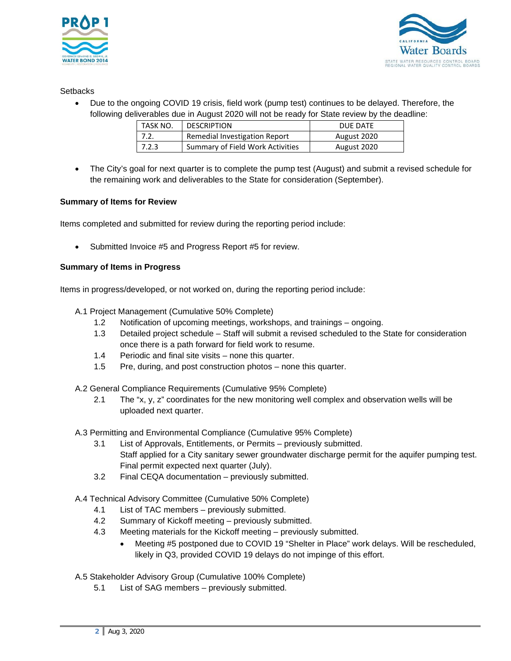



## **Setbacks**

• Due to the ongoing COVID 19 crisis, field work (pump test) continues to be delayed. Therefore, the following deliverables due in August 2020 will not be ready for State review by the deadline:

| TASK NO. | <b>DESCRIPTION</b>               | DUE DATE    |
|----------|----------------------------------|-------------|
| 7.2.     | Remedial Investigation Report    | August 2020 |
| 7.2.3    | Summary of Field Work Activities | August 2020 |

• The City's goal for next quarter is to complete the pump test (August) and submit a revised schedule for the remaining work and deliverables to the State for consideration (September).

## **Summary of Items for Review**

Items completed and submitted for review during the reporting period include:

Submitted Invoice #5 and Progress Report #5 for review.

### **Summary of Items in Progress**

Items in progress/developed, or not worked on, during the reporting period include:

- A.1 Project Management (Cumulative 50% Complete)
	- 1.2 Notification of upcoming meetings, workshops, and trainings ongoing.
	- 1.3 Detailed project schedule Staff will submit a revised scheduled to the State for consideration once there is a path forward for field work to resume.
	- 1.4 Periodic and final site visits none this quarter.
	- 1.5 Pre, during, and post construction photos none this quarter.

A.2 General Compliance Requirements (Cumulative 95% Complete)

2.1 The "x, y, z" coordinates for the new monitoring well complex and observation wells will be uploaded next quarter.

A.3 Permitting and Environmental Compliance (Cumulative 95% Complete)

- 3.1 List of Approvals, Entitlements, or Permits previously submitted. Staff applied for a City sanitary sewer groundwater discharge permit for the aquifer pumping test. Final permit expected next quarter (July).
- 3.2 Final CEQA documentation previously submitted.

A.4 Technical Advisory Committee (Cumulative 50% Complete)

- 4.1 List of TAC members previously submitted.
- 4.2 Summary of Kickoff meeting previously submitted.
- 4.3 Meeting materials for the Kickoff meeting previously submitted.
	- Meeting #5 postponed due to COVID 19 "Shelter in Place" work delays. Will be rescheduled, likely in Q3, provided COVID 19 delays do not impinge of this effort.
- A.5 Stakeholder Advisory Group (Cumulative 100% Complete)
	- 5.1 List of SAG members previously submitted.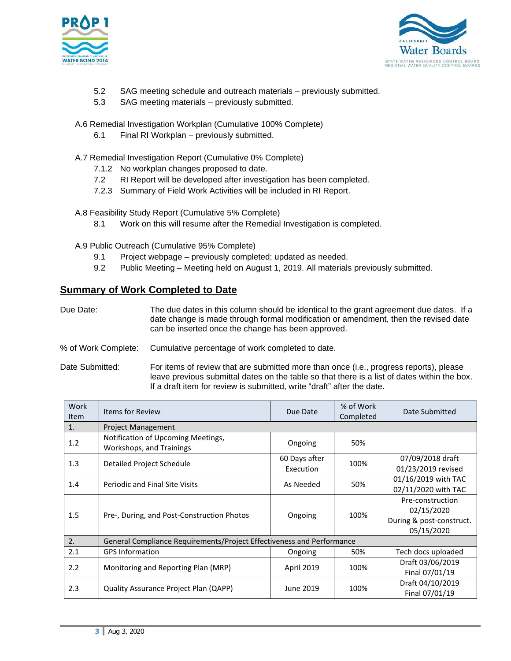



- 5.2 SAG meeting schedule and outreach materials previously submitted.
- 5.3 SAG meeting materials previously submitted.
- A.6 Remedial Investigation Workplan (Cumulative 100% Complete)
	- 6.1 Final RI Workplan previously submitted.
- A.7 Remedial Investigation Report (Cumulative 0% Complete)
	- 7.1.2 No workplan changes proposed to date.
	- 7.2 RI Report will be developed after investigation has been completed.
	- 7.2.3 Summary of Field Work Activities will be included in RI Report.
- A.8 Feasibility Study Report (Cumulative 5% Complete)
	- 8.1 Work on this will resume after the Remedial Investigation is completed.
- A.9 Public Outreach (Cumulative 95% Complete)
	- 9.1 Project webpage previously completed; updated as needed.
	- 9.2 Public Meeting Meeting held on August 1, 2019. All materials previously submitted.

## **Summary of Work Completed to Date**

- Due Date: The due dates in this column should be identical to the grant agreement due dates. If a date change is made through formal modification or amendment, then the revised date can be inserted once the change has been approved.
- % of Work Complete: Cumulative percentage of work completed to date.
- Date Submitted: For items of review that are submitted more than once (i.e., progress reports), please leave previous submittal dates on the table so that there is a list of dates within the box. If a draft item for review is submitted, write "draft" after the date.

| <b>Work</b><br><b>Item</b> | Items for Review                                                      | Due Date      | % of Work<br>Completed | Date Submitted                                                           |
|----------------------------|-----------------------------------------------------------------------|---------------|------------------------|--------------------------------------------------------------------------|
| 1.                         | <b>Project Management</b>                                             |               |                        |                                                                          |
| 1.2                        | Notification of Upcoming Meetings,<br>Workshops, and Trainings        | Ongoing       | 50%                    |                                                                          |
| 1.3                        | Detailed Project Schedule                                             | 60 Days after | 100%                   | 07/09/2018 draft                                                         |
|                            |                                                                       | Execution     |                        | 01/23/2019 revised                                                       |
| 1.4                        | Periodic and Final Site Visits                                        | As Needed     | 50%                    | 01/16/2019 with TAC                                                      |
|                            |                                                                       |               |                        | 02/11/2020 with TAC                                                      |
| 1.5                        | Pre-, During, and Post-Construction Photos                            | Ongoing       | 100%                   | Pre-construction<br>02/15/2020<br>During & post-construct.<br>05/15/2020 |
| 2.                         | General Compliance Requirements/Project Effectiveness and Performance |               |                        |                                                                          |
| 2.1                        | <b>GPS Information</b>                                                | Ongoing       | 50%                    | Tech docs uploaded                                                       |
| 2.2                        | Monitoring and Reporting Plan (MRP)                                   | April 2019    | 100%                   | Draft 03/06/2019                                                         |
|                            |                                                                       |               |                        | Final 07/01/19                                                           |
| 2.3                        | Quality Assurance Project Plan (QAPP)                                 | June 2019     | 100%                   | Draft 04/10/2019                                                         |
|                            |                                                                       |               |                        | Final 07/01/19                                                           |